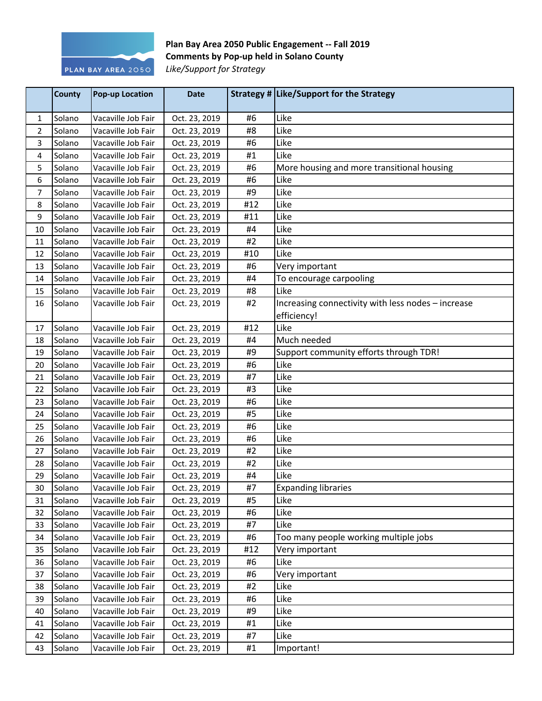

## Plan Bay Area 2050 Public Engagement -- Fall 2019 **Comments by Pop-up held in Solano County Like/Support for Strategy**

|    | County | <b>Pop-up Location</b> | <b>Date</b>   |     | Strategy # Like/Support for the Strategy           |
|----|--------|------------------------|---------------|-----|----------------------------------------------------|
| 1  | Solano | Vacaville Job Fair     | Oct. 23, 2019 | #6  | Like                                               |
| 2  | Solano | Vacaville Job Fair     | Oct. 23, 2019 | #8  | Like                                               |
| 3  | Solano | Vacaville Job Fair     | Oct. 23, 2019 | #6  | Like                                               |
| 4  | Solano | Vacaville Job Fair     | Oct. 23, 2019 | #1  | Like                                               |
| 5  | Solano | Vacaville Job Fair     | Oct. 23, 2019 | #6  | More housing and more transitional housing         |
| 6  | Solano | Vacaville Job Fair     | Oct. 23, 2019 | #6  | Like                                               |
| 7  | Solano | Vacaville Job Fair     | Oct. 23, 2019 | #9  | Like                                               |
| 8  | Solano | Vacaville Job Fair     | Oct. 23, 2019 | #12 | Like                                               |
| 9  | Solano | Vacaville Job Fair     | Oct. 23, 2019 | #11 | Like                                               |
| 10 | Solano | Vacaville Job Fair     | Oct. 23, 2019 | #4  | Like                                               |
| 11 | Solano | Vacaville Job Fair     | Oct. 23, 2019 | #2  | Like                                               |
| 12 | Solano | Vacaville Job Fair     | Oct. 23, 2019 | #10 | Like                                               |
| 13 | Solano | Vacaville Job Fair     | Oct. 23, 2019 | #6  | Very important                                     |
| 14 | Solano | Vacaville Job Fair     | Oct. 23, 2019 | #4  | To encourage carpooling                            |
| 15 | Solano | Vacaville Job Fair     | Oct. 23, 2019 | #8  | Like                                               |
| 16 | Solano | Vacaville Job Fair     | Oct. 23, 2019 | #2  | Increasing connectivity with less nodes - increase |
|    |        |                        |               |     | efficiency!                                        |
| 17 | Solano | Vacaville Job Fair     | Oct. 23, 2019 | #12 | Like                                               |
| 18 | Solano | Vacaville Job Fair     | Oct. 23, 2019 | #4  | Much needed                                        |
| 19 | Solano | Vacaville Job Fair     | Oct. 23, 2019 | #9  | Support community efforts through TDR!             |
| 20 | Solano | Vacaville Job Fair     | Oct. 23, 2019 | #6  | Like                                               |
| 21 | Solano | Vacaville Job Fair     | Oct. 23, 2019 | #7  | Like                                               |
| 22 | Solano | Vacaville Job Fair     | Oct. 23, 2019 | #3  | Like                                               |
| 23 | Solano | Vacaville Job Fair     | Oct. 23, 2019 | #6  | Like                                               |
| 24 | Solano | Vacaville Job Fair     | Oct. 23, 2019 | #5  | Like                                               |
| 25 | Solano | Vacaville Job Fair     | Oct. 23, 2019 | #6  | Like                                               |
| 26 | Solano | Vacaville Job Fair     | Oct. 23, 2019 | #6  | Like                                               |
| 27 | Solano | Vacaville Job Fair     | Oct. 23, 2019 | #2  | Like                                               |
| 28 | Solano | Vacaville Job Fair     | Oct. 23, 2019 | #2  | Like                                               |
| 29 | Solano | Vacaville Job Fair     | Oct. 23, 2019 | #4  | Like                                               |
| 30 | Solano | Vacaville Job Fair     | Oct. 23, 2019 | #7  | <b>Expanding libraries</b>                         |
| 31 | Solano | Vacaville Job Fair     | Oct. 23, 2019 | #5  | Like                                               |
| 32 | Solano | Vacaville Job Fair     | Oct. 23, 2019 | #6  | Like                                               |
| 33 | Solano | Vacaville Job Fair     | Oct. 23, 2019 | #7  | Like                                               |
| 34 | Solano | Vacaville Job Fair     | Oct. 23, 2019 | #6  | Too many people working multiple jobs              |
| 35 | Solano | Vacaville Job Fair     | Oct. 23, 2019 | #12 | Very important                                     |
| 36 | Solano | Vacaville Job Fair     | Oct. 23, 2019 | #6  | Like                                               |
| 37 | Solano | Vacaville Job Fair     | Oct. 23, 2019 | #6  | Very important                                     |
| 38 | Solano | Vacaville Job Fair     | Oct. 23, 2019 | #2  | Like                                               |
| 39 | Solano | Vacaville Job Fair     | Oct. 23, 2019 | #6  | Like                                               |
| 40 | Solano | Vacaville Job Fair     | Oct. 23, 2019 | #9  | Like                                               |
| 41 | Solano | Vacaville Job Fair     | Oct. 23, 2019 | #1  | Like                                               |
| 42 | Solano | Vacaville Job Fair     | Oct. 23, 2019 | #7  | Like                                               |
| 43 | Solano | Vacaville Job Fair     | Oct. 23, 2019 | #1  | Important!                                         |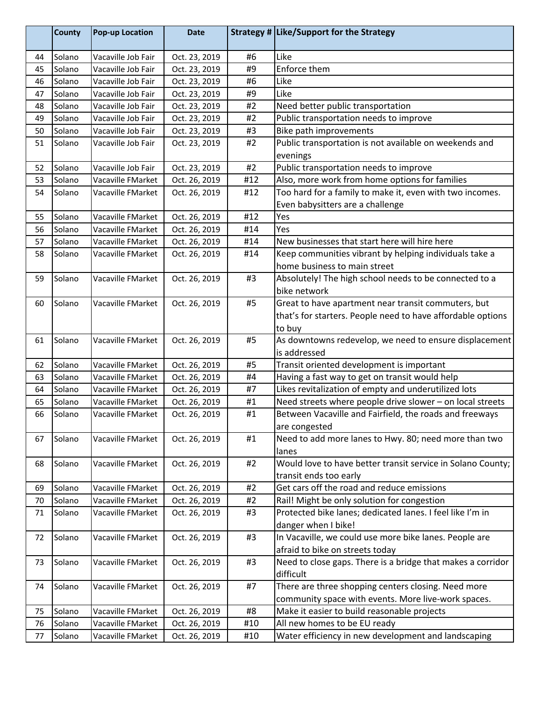|    | <b>County</b> | <b>Pop-up Location</b> | <b>Date</b>   |     | Strategy # Like/Support for the Strategy                    |
|----|---------------|------------------------|---------------|-----|-------------------------------------------------------------|
| 44 | Solano        | Vacaville Job Fair     | Oct. 23, 2019 | #6  | Like                                                        |
| 45 | Solano        | Vacaville Job Fair     | Oct. 23, 2019 | #9  | Enforce them                                                |
| 46 | Solano        | Vacaville Job Fair     | Oct. 23, 2019 | #6  | Like                                                        |
| 47 | Solano        | Vacaville Job Fair     | Oct. 23, 2019 | #9  | Like                                                        |
| 48 | Solano        | Vacaville Job Fair     | Oct. 23, 2019 | #2  | Need better public transportation                           |
| 49 | Solano        | Vacaville Job Fair     | Oct. 23, 2019 | #2  | Public transportation needs to improve                      |
| 50 | Solano        | Vacaville Job Fair     | Oct. 23, 2019 | #3  | Bike path improvements                                      |
| 51 | Solano        | Vacaville Job Fair     | Oct. 23, 2019 | #2  | Public transportation is not available on weekends and      |
|    |               |                        |               |     | evenings                                                    |
| 52 | Solano        | Vacaville Job Fair     | Oct. 23, 2019 | #2  | Public transportation needs to improve                      |
| 53 | Solano        | Vacaville FMarket      | Oct. 26, 2019 | #12 | Also, more work from home options for families              |
| 54 | Solano        | Vacaville FMarket      | Oct. 26, 2019 | #12 | Too hard for a family to make it, even with two incomes.    |
|    |               |                        |               |     | Even babysitters are a challenge                            |
| 55 | Solano        | Vacaville FMarket      | Oct. 26, 2019 | #12 | Yes                                                         |
| 56 | Solano        | Vacaville FMarket      | Oct. 26, 2019 | #14 | Yes                                                         |
| 57 | Solano        | Vacaville FMarket      | Oct. 26, 2019 | #14 | New businesses that start here will hire here               |
| 58 | Solano        | Vacaville FMarket      | Oct. 26, 2019 | #14 | Keep communities vibrant by helping individuals take a      |
|    |               |                        |               |     | home business to main street                                |
| 59 | Solano        | Vacaville FMarket      | Oct. 26, 2019 | #3  | Absolutely! The high school needs to be connected to a      |
|    |               |                        |               |     | bike network                                                |
| 60 | Solano        | Vacaville FMarket      | Oct. 26, 2019 | #5  | Great to have apartment near transit commuters, but         |
|    |               |                        |               |     | that's for starters. People need to have affordable options |
|    |               |                        |               |     | to buy                                                      |
| 61 | Solano        | Vacaville FMarket      | Oct. 26, 2019 | #5  | As downtowns redevelop, we need to ensure displacement      |
|    |               |                        |               |     | is addressed                                                |
| 62 | Solano        | Vacaville FMarket      | Oct. 26, 2019 | #5  | Transit oriented development is important                   |
| 63 | Solano        | Vacaville FMarket      | Oct. 26, 2019 | #4  | Having a fast way to get on transit would help              |
| 64 | Solano        | Vacaville FMarket      | Oct. 26, 2019 | #7  | Likes revitalization of empty and underutilized lots        |
| 65 | Solano        | Vacaville FMarket      | Oct. 26, 2019 | #1  | Need streets where people drive slower - on local streets   |
| 66 | Solano        | Vacaville FMarket      | Oct. 26, 2019 | #1  | Between Vacaville and Fairfield, the roads and freeways     |
|    |               |                        |               |     | are congested                                               |
| 67 | Solano        | Vacaville FMarket      | Oct. 26, 2019 | #1  | Need to add more lanes to Hwy. 80; need more than two       |
|    |               |                        |               |     | lanes                                                       |
| 68 | Solano        | Vacaville FMarket      | Oct. 26, 2019 | #2  | Would love to have better transit service in Solano County; |
|    |               |                        |               |     | transit ends too early                                      |
| 69 | Solano        | Vacaville FMarket      | Oct. 26, 2019 | #2  | Get cars off the road and reduce emissions                  |
| 70 | Solano        | Vacaville FMarket      | Oct. 26, 2019 | #2  | Rail! Might be only solution for congestion                 |
| 71 | Solano        | Vacaville FMarket      | Oct. 26, 2019 | #3  | Protected bike lanes; dedicated lanes. I feel like I'm in   |
|    |               |                        |               |     | danger when I bike!                                         |
| 72 | Solano        | Vacaville FMarket      | Oct. 26, 2019 | #3  | In Vacaville, we could use more bike lanes. People are      |
|    |               |                        |               |     | afraid to bike on streets today                             |
| 73 | Solano        | Vacaville FMarket      | Oct. 26, 2019 | #3  | Need to close gaps. There is a bridge that makes a corridor |
|    |               |                        |               |     | difficult                                                   |
| 74 | Solano        | Vacaville FMarket      | Oct. 26, 2019 | #7  | There are three shopping centers closing. Need more         |
|    |               |                        |               |     | community space with events. More live-work spaces.         |
| 75 | Solano        | Vacaville FMarket      | Oct. 26, 2019 | #8  | Make it easier to build reasonable projects                 |
| 76 | Solano        | Vacaville FMarket      | Oct. 26, 2019 | #10 | All new homes to be EU ready                                |
| 77 | Solano        | Vacaville FMarket      | Oct. 26, 2019 | #10 | Water efficiency in new development and landscaping         |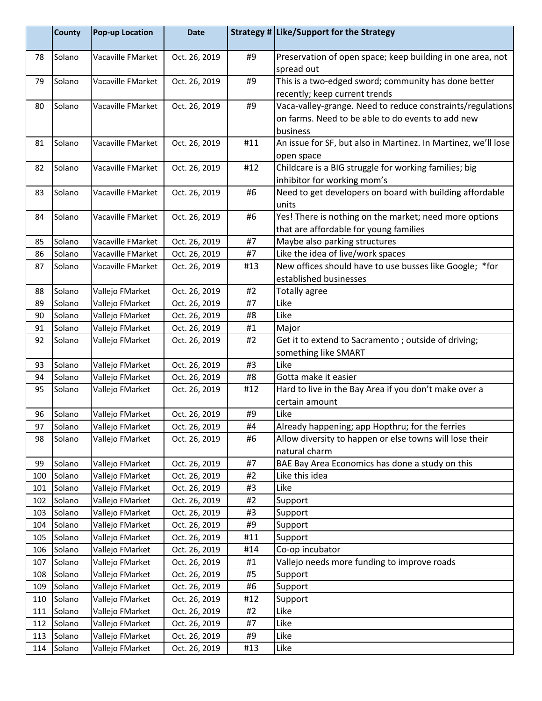|     | <b>County</b> | <b>Pop-up Location</b> | <b>Date</b>   |     | Strategy # Like/Support for the Strategy                                                                                    |
|-----|---------------|------------------------|---------------|-----|-----------------------------------------------------------------------------------------------------------------------------|
| 78  | Solano        | Vacaville FMarket      | Oct. 26, 2019 | #9  | Preservation of open space; keep building in one area, not<br>spread out                                                    |
| 79  | Solano        | Vacaville FMarket      | Oct. 26, 2019 | #9  | This is a two-edged sword; community has done better<br>recently; keep current trends                                       |
| 80  | Solano        | Vacaville FMarket      | Oct. 26, 2019 | #9  | Vaca-valley-grange. Need to reduce constraints/regulations<br>on farms. Need to be able to do events to add new<br>business |
| 81  | Solano        | Vacaville FMarket      | Oct. 26, 2019 | #11 | An issue for SF, but also in Martinez. In Martinez, we'll lose<br>open space                                                |
| 82  | Solano        | Vacaville FMarket      | Oct. 26, 2019 | #12 | Childcare is a BIG struggle for working families; big<br>inhibitor for working mom's                                        |
| 83  | Solano        | Vacaville FMarket      | Oct. 26, 2019 | #6  | Need to get developers on board with building affordable<br>units                                                           |
| 84  | Solano        | Vacaville FMarket      | Oct. 26, 2019 | #6  | Yes! There is nothing on the market; need more options<br>that are affordable for young families                            |
| 85  | Solano        | Vacaville FMarket      | Oct. 26, 2019 | #7  | Maybe also parking structures                                                                                               |
| 86  | Solano        | Vacaville FMarket      | Oct. 26, 2019 | #7  | Like the idea of live/work spaces                                                                                           |
| 87  | Solano        | Vacaville FMarket      | Oct. 26, 2019 | #13 | New offices should have to use busses like Google; *for<br>established businesses                                           |
| 88  | Solano        | Vallejo FMarket        | Oct. 26, 2019 | #2  | <b>Totally agree</b>                                                                                                        |
| 89  | Solano        | Vallejo FMarket        | Oct. 26, 2019 | #7  | Like                                                                                                                        |
| 90  | Solano        | Vallejo FMarket        | Oct. 26, 2019 | #8  | Like                                                                                                                        |
| 91  | Solano        | Vallejo FMarket        | Oct. 26, 2019 | #1  | Major                                                                                                                       |
| 92  | Solano        | Vallejo FMarket        | Oct. 26, 2019 | #2  | Get it to extend to Sacramento; outside of driving;<br>something like SMART                                                 |
| 93  | Solano        | Vallejo FMarket        | Oct. 26, 2019 | #3  | Like                                                                                                                        |
| 94  | Solano        | Vallejo FMarket        | Oct. 26, 2019 | #8  | Gotta make it easier                                                                                                        |
| 95  | Solano        | Vallejo FMarket        | Oct. 26, 2019 | #12 | Hard to live in the Bay Area if you don't make over a<br>certain amount                                                     |
| 96  | Solano        | Vallejo FMarket        | Oct. 26, 2019 | #9  | Like                                                                                                                        |
| 97  | Solano        | Vallejo FMarket        | Oct. 26, 2019 | #4  | Already happening; app Hopthru; for the ferries                                                                             |
| 98  | Solano        | Vallejo FMarket        | Oct. 26, 2019 | #6  | Allow diversity to happen or else towns will lose their<br>natural charm                                                    |
| 99  | Solano        | Vallejo FMarket        | Oct. 26, 2019 | #7  | BAE Bay Area Economics has done a study on this                                                                             |
| 100 | Solano        | Vallejo FMarket        | Oct. 26, 2019 | #2  | Like this idea                                                                                                              |
| 101 | Solano        | Vallejo FMarket        | Oct. 26, 2019 | #3  | Like                                                                                                                        |
| 102 | Solano        | Vallejo FMarket        | Oct. 26, 2019 | #2  | Support                                                                                                                     |
| 103 | Solano        | Vallejo FMarket        | Oct. 26, 2019 | #3  | Support                                                                                                                     |
| 104 | Solano        | Vallejo FMarket        | Oct. 26, 2019 | #9  | Support                                                                                                                     |
| 105 | Solano        | Vallejo FMarket        | Oct. 26, 2019 | #11 | Support                                                                                                                     |
| 106 | Solano        | Vallejo FMarket        | Oct. 26, 2019 | #14 | Co-op incubator                                                                                                             |
| 107 | Solano        | Vallejo FMarket        | Oct. 26, 2019 | #1  | Vallejo needs more funding to improve roads                                                                                 |
| 108 | Solano        | Vallejo FMarket        | Oct. 26, 2019 | #5  | Support                                                                                                                     |
| 109 | Solano        | Vallejo FMarket        | Oct. 26, 2019 | #6  | Support                                                                                                                     |
| 110 | Solano        | Vallejo FMarket        | Oct. 26, 2019 | #12 | Support                                                                                                                     |
| 111 | Solano        | Vallejo FMarket        | Oct. 26, 2019 | #2  | Like                                                                                                                        |
| 112 | Solano        | Vallejo FMarket        | Oct. 26, 2019 | #7  | Like                                                                                                                        |
| 113 | Solano        | Vallejo FMarket        | Oct. 26, 2019 | #9  | Like                                                                                                                        |
| 114 | Solano        | Vallejo FMarket        | Oct. 26, 2019 | #13 | Like                                                                                                                        |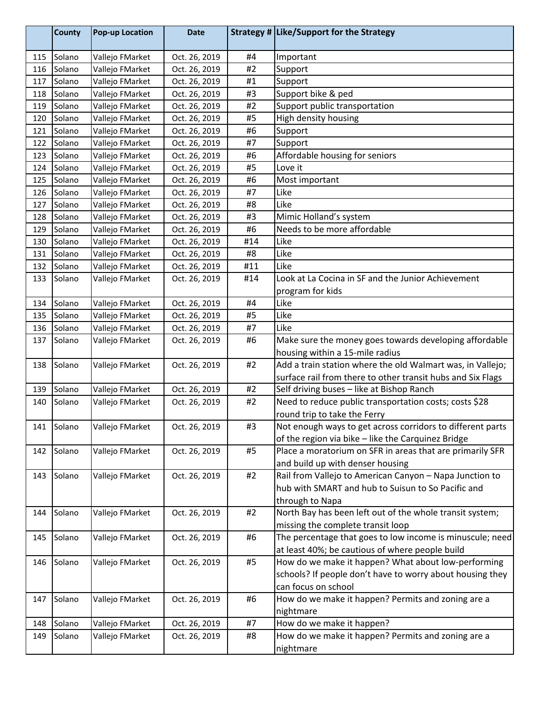|     | <b>County</b> | Pop-up Location | <b>Date</b>   |     | Strategy # Like/Support for the Strategy                    |
|-----|---------------|-----------------|---------------|-----|-------------------------------------------------------------|
| 115 | Solano        | Vallejo FMarket | Oct. 26, 2019 | #4  | Important                                                   |
| 116 | Solano        | Vallejo FMarket | Oct. 26, 2019 | #2  | Support                                                     |
| 117 | Solano        | Vallejo FMarket | Oct. 26, 2019 | #1  | Support                                                     |
| 118 | Solano        | Vallejo FMarket | Oct. 26, 2019 | #3  | Support bike & ped                                          |
| 119 | Solano        | Vallejo FMarket | Oct. 26, 2019 | #2  | Support public transportation                               |
| 120 | Solano        | Vallejo FMarket | Oct. 26, 2019 | #5  | High density housing                                        |
| 121 | Solano        | Vallejo FMarket | Oct. 26, 2019 | #6  | Support                                                     |
| 122 | Solano        | Vallejo FMarket | Oct. 26, 2019 | #7  | Support                                                     |
| 123 | Solano        | Vallejo FMarket | Oct. 26, 2019 | #6  | Affordable housing for seniors                              |
| 124 | Solano        | Vallejo FMarket | Oct. 26, 2019 | #5  | Love it                                                     |
| 125 | Solano        | Vallejo FMarket | Oct. 26, 2019 | #6  | Most important                                              |
| 126 | Solano        | Vallejo FMarket | Oct. 26, 2019 | #7  | Like                                                        |
| 127 | Solano        | Vallejo FMarket | Oct. 26, 2019 | #8  | Like                                                        |
| 128 | Solano        | Vallejo FMarket | Oct. 26, 2019 | #3  | Mimic Holland's system                                      |
| 129 | Solano        | Vallejo FMarket | Oct. 26, 2019 | #6  | Needs to be more affordable                                 |
| 130 | Solano        | Vallejo FMarket | Oct. 26, 2019 | #14 | Like                                                        |
| 131 | Solano        | Vallejo FMarket | Oct. 26, 2019 | #8  | Like                                                        |
| 132 | Solano        | Vallejo FMarket | Oct. 26, 2019 | #11 | Like                                                        |
| 133 | Solano        | Vallejo FMarket | Oct. 26, 2019 | #14 | Look at La Cocina in SF and the Junior Achievement          |
|     |               |                 |               |     | program for kids                                            |
| 134 | Solano        | Vallejo FMarket | Oct. 26, 2019 | #4  | Like                                                        |
| 135 | Solano        | Vallejo FMarket | Oct. 26, 2019 | #5  | Like                                                        |
| 136 | Solano        | Vallejo FMarket | Oct. 26, 2019 | #7  | Like                                                        |
| 137 | Solano        | Vallejo FMarket | Oct. 26, 2019 | #6  | Make sure the money goes towards developing affordable      |
|     |               |                 |               |     | housing within a 15-mile radius                             |
| 138 | Solano        | Vallejo FMarket | Oct. 26, 2019 | #2  | Add a train station where the old Walmart was, in Vallejo;  |
|     |               |                 |               |     | surface rail from there to other transit hubs and Six Flags |
| 139 | Solano        | Vallejo FMarket | Oct. 26, 2019 | #2  | Self driving buses - like at Bishop Ranch                   |
| 140 | Solano        | Vallejo FMarket | Oct. 26, 2019 | #2  | Need to reduce public transportation costs; costs \$28      |
|     |               |                 |               |     | round trip to take the Ferry                                |
| 141 | Solano        | Vallejo FMarket | Oct. 26, 2019 | #3  | Not enough ways to get across corridors to different parts  |
|     |               |                 |               |     | of the region via bike - like the Carquinez Bridge          |
| 142 | Solano        | Vallejo FMarket | Oct. 26, 2019 | #5  | Place a moratorium on SFR in areas that are primarily SFR   |
|     |               |                 |               |     | and build up with denser housing                            |
| 143 | Solano        | Vallejo FMarket | Oct. 26, 2019 | #2  | Rail from Vallejo to American Canyon - Napa Junction to     |
|     |               |                 |               |     | hub with SMART and hub to Suisun to So Pacific and          |
|     |               |                 |               |     | through to Napa                                             |
| 144 | Solano        | Vallejo FMarket | Oct. 26, 2019 | #2  | North Bay has been left out of the whole transit system;    |
|     |               |                 |               |     | missing the complete transit loop                           |
| 145 | Solano        | Vallejo FMarket | Oct. 26, 2019 | #6  | The percentage that goes to low income is minuscule; need   |
|     |               |                 |               |     | at least 40%; be cautious of where people build             |
| 146 | Solano        | Vallejo FMarket | Oct. 26, 2019 | #5  | How do we make it happen? What about low-performing         |
|     |               |                 |               |     | schools? If people don't have to worry about housing they   |
|     |               |                 |               |     | can focus on school                                         |
| 147 | Solano        | Vallejo FMarket | Oct. 26, 2019 | #6  | How do we make it happen? Permits and zoning are a          |
|     |               |                 |               |     | nightmare                                                   |
| 148 | Solano        | Vallejo FMarket | Oct. 26, 2019 | #7  | How do we make it happen?                                   |
| 149 | Solano        | Vallejo FMarket | Oct. 26, 2019 | #8  | How do we make it happen? Permits and zoning are a          |
|     |               |                 |               |     | nightmare                                                   |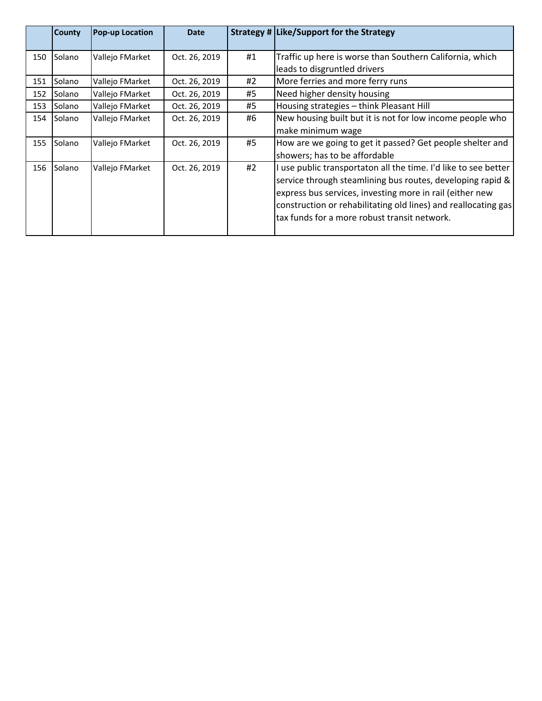|     | <b>County</b> | <b>Pop-up Location</b> | <b>Date</b>   |    | Strategy # Like/Support for the Strategy                        |
|-----|---------------|------------------------|---------------|----|-----------------------------------------------------------------|
| 150 | Solano        | Vallejo FMarket        | Oct. 26, 2019 | #1 | Traffic up here is worse than Southern California, which        |
|     |               |                        |               |    | leads to disgruntled drivers                                    |
| 151 | Solano        | Vallejo FMarket        | Oct. 26, 2019 | #2 | More ferries and more ferry runs                                |
| 152 | Solano        | Vallejo FMarket        | Oct. 26, 2019 | #5 | Need higher density housing                                     |
| 153 | Solano        | Vallejo FMarket        | Oct. 26, 2019 | #5 | Housing strategies - think Pleasant Hill                        |
| 154 | <b>Solano</b> | Vallejo FMarket        | Oct. 26, 2019 | #6 | New housing built but it is not for low income people who       |
|     |               |                        |               |    | make minimum wage                                               |
| 155 | Solano        | Vallejo FMarket        | Oct. 26, 2019 | #5 | How are we going to get it passed? Get people shelter and       |
|     |               |                        |               |    | showers; has to be affordable                                   |
| 156 | Solano        | Vallejo FMarket        | Oct. 26, 2019 | #2 | I use public transportaton all the time. I'd like to see better |
|     |               |                        |               |    | service through steamlining bus routes, developing rapid &      |
|     |               |                        |               |    | express bus services, investing more in rail (either new        |
|     |               |                        |               |    | construction or rehabilitating old lines) and reallocating gas  |
|     |               |                        |               |    | ltax funds for a more robust transit network.                   |
|     |               |                        |               |    |                                                                 |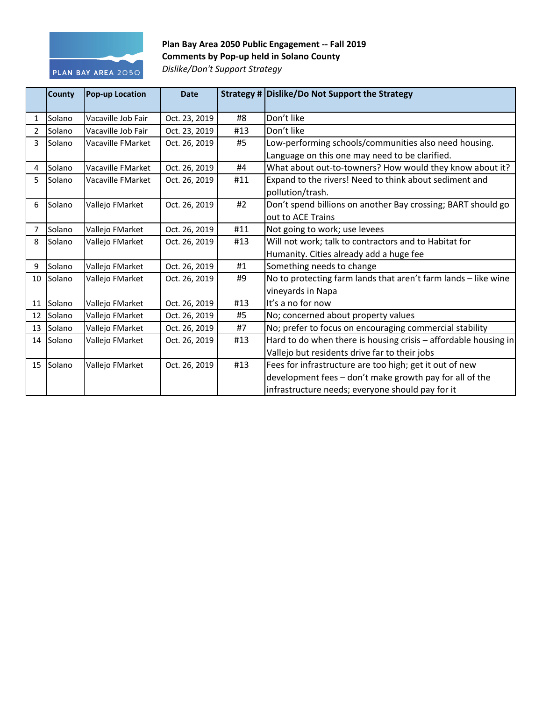

## Plan Bay Area 2050 Public Engagement -- Fall 2019 **Comments by Pop-up held in Solano County** *Dislike/Don't Support Strategy*

|                | <b>County</b>  | <b>Pop-up Location</b> | <b>Date</b>   |     | Strategy # Dislike/Do Not Support the Strategy                    |
|----------------|----------------|------------------------|---------------|-----|-------------------------------------------------------------------|
| 1              | Solano         | Vacaville Job Fair     | Oct. 23, 2019 | #8  | Don't like                                                        |
| $\overline{2}$ | Solano         | Vacaville Job Fair     | Oct. 23, 2019 | #13 | Don't like                                                        |
| 3              | Solano         | Vacaville FMarket      | Oct. 26, 2019 | #5  | Low-performing schools/communities also need housing.             |
|                |                |                        |               |     | Language on this one may need to be clarified.                    |
| 4              | Solano         | Vacaville FMarket      | Oct. 26, 2019 | #4  | What about out-to-towners? How would they know about it?          |
| 5              | Solano         | Vacaville FMarket      | Oct. 26, 2019 | #11 | Expand to the rivers! Need to think about sediment and            |
|                |                |                        |               |     | pollution/trash.                                                  |
| 6              | Solano         | Vallejo FMarket        | Oct. 26, 2019 | #2  | Don't spend billions on another Bay crossing; BART should go      |
|                |                |                        |               |     | out to ACE Trains                                                 |
| 7              | <b>Solano</b>  | Vallejo FMarket        | Oct. 26, 2019 | #11 | Not going to work; use levees                                     |
| 8              | Solano         | Vallejo FMarket        | Oct. 26, 2019 | #13 | Will not work; talk to contractors and to Habitat for             |
|                |                |                        |               |     | Humanity. Cities already add a huge fee                           |
| 9              | Solano         | Vallejo FMarket        | Oct. 26, 2019 | #1  | Something needs to change                                         |
| 10             | <b>ISolano</b> | Vallejo FMarket        | Oct. 26, 2019 | #9  | No to protecting farm lands that aren't farm lands - like wine    |
|                |                |                        |               |     | vineyards in Napa                                                 |
|                | 11 Solano      | Vallejo FMarket        | Oct. 26, 2019 | #13 | It's a no for now                                                 |
| 12             | Solano         | Vallejo FMarket        | Oct. 26, 2019 | #5  | No; concerned about property values                               |
| 13             | Solano         | Vallejo FMarket        | Oct. 26, 2019 | #7  | No; prefer to focus on encouraging commercial stability           |
| 14             | Solano         | Vallejo FMarket        | Oct. 26, 2019 | #13 | Hard to do when there is housing crisis $-$ affordable housing in |
|                |                |                        |               |     | Vallejo but residents drive far to their jobs                     |
| 15             | Solano         | Vallejo FMarket        | Oct. 26, 2019 | #13 | Fees for infrastructure are too high; get it out of new           |
|                |                |                        |               |     | development fees - don't make growth pay for all of the           |
|                |                |                        |               |     | infrastructure needs; everyone should pay for it                  |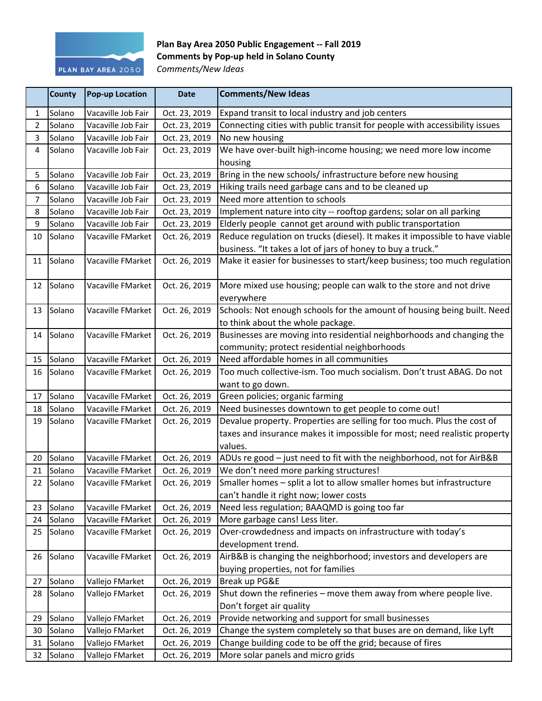

## Plan Bay Area 2050 Public Engagement -- Fall 2019 **Comments by Pop-up held in Solano County** *Comments/New Ideas*

|                | County    | <b>Pop-up Location</b> | <b>Date</b>   | <b>Comments/New Ideas</b>                                                   |
|----------------|-----------|------------------------|---------------|-----------------------------------------------------------------------------|
| $\mathbf{1}$   | Solano    | Vacaville Job Fair     | Oct. 23, 2019 | Expand transit to local industry and job centers                            |
| $\overline{2}$ | Solano    | Vacaville Job Fair     | Oct. 23, 2019 | Connecting cities with public transit for people with accessibility issues  |
| $\overline{3}$ | Solano    | Vacaville Job Fair     | Oct. 23, 2019 | No new housing                                                              |
| 4              | Solano    | Vacaville Job Fair     | Oct. 23, 2019 | We have over-built high-income housing; we need more low income             |
|                |           |                        |               | housing                                                                     |
| 5              | Solano    | Vacaville Job Fair     | Oct. 23, 2019 | Bring in the new schools/ infrastructure before new housing                 |
| 6              | Solano    | Vacaville Job Fair     | Oct. 23, 2019 | Hiking trails need garbage cans and to be cleaned up                        |
| $\overline{7}$ | Solano    | Vacaville Job Fair     | Oct. 23, 2019 | Need more attention to schools                                              |
| 8              | Solano    | Vacaville Job Fair     | Oct. 23, 2019 | Implement nature into city -- rooftop gardens; solar on all parking         |
| 9              | Solano    | Vacaville Job Fair     | Oct. 23, 2019 | Elderly people cannot get around with public transportation                 |
| 10             | Solano    | Vacaville FMarket      | Oct. 26, 2019 | Reduce regulation on trucks (diesel). It makes it impossible to have viable |
|                |           |                        |               | business. "It takes a lot of jars of honey to buy a truck."                 |
| 11             | Solano    | Vacaville FMarket      | Oct. 26, 2019 | Make it easier for businesses to start/keep business; too much regulation   |
|                |           |                        |               |                                                                             |
| 12             | Solano    | Vacaville FMarket      | Oct. 26, 2019 | More mixed use housing; people can walk to the store and not drive          |
|                |           |                        |               | everywhere                                                                  |
| 13             | Solano    | Vacaville FMarket      | Oct. 26, 2019 | Schools: Not enough schools for the amount of housing being built. Need     |
|                |           |                        |               | to think about the whole package.                                           |
| 14             | Solano    | Vacaville FMarket      | Oct. 26, 2019 | Businesses are moving into residential neighborhoods and changing the       |
|                |           |                        |               | community; protect residential neighborhoods                                |
| 15             | Solano    | Vacaville FMarket      | Oct. 26, 2019 | Need affordable homes in all communities                                    |
| 16             | Solano    | Vacaville FMarket      | Oct. 26, 2019 | Too much collective-ism. Too much socialism. Don't trust ABAG. Do not       |
|                |           |                        |               | want to go down.                                                            |
| 17             | Solano    | Vacaville FMarket      | Oct. 26, 2019 | Green policies; organic farming                                             |
| 18             | Solano    | Vacaville FMarket      | Oct. 26, 2019 | Need businesses downtown to get people to come out!                         |
| 19             | Solano    | Vacaville FMarket      | Oct. 26, 2019 | Devalue property. Properties are selling for too much. Plus the cost of     |
|                |           |                        |               | taxes and insurance makes it impossible for most; need realistic property   |
|                |           |                        |               | values.                                                                     |
|                | 20 Solano | Vacaville FMarket      | Oct. 26, 2019 | ADUs re good - just need to fit with the neighborhood, not for AirB&B       |
| 21             | Solano    | Vacaville FMarket      | Oct. 26, 2019 | We don't need more parking structures!                                      |
| 22             | Solano    | Vacaville FMarket      | Oct. 26, 2019 | Smaller homes - split a lot to allow smaller homes but infrastructure       |
|                |           |                        |               | can't handle it right now; lower costs                                      |
| 23             | Solano    | Vacaville FMarket      | Oct. 26, 2019 | Need less regulation; BAAQMD is going too far                               |
|                | 24 Solano | Vacaville FMarket      | Oct. 26, 2019 | More garbage cans! Less liter.                                              |

development trend. 26 Solano Vacaville FMarket | Oct. 26, 2019 | AirB&B is changing the neighborhood; investors and developers are buying properties, not for families 27 Solano Vallejo FMarket | Oct. 26, 2019 | Break up PG&E 28 Solano  $\vert$ Vallejo FMarket  $\vert$  Oct. 26, 2019 Shut down the refineries – move them away from where people live. Don't forget air quality 29  $\vert$ Solano  $\vert$ Vallejo FMarket  $\vert$  Oct. 26, 2019  $\vert$ Provide networking and support for small businesses 30 Solano Vallejo FMarket | Oct. 26, 2019 Change the system completely so that buses are on demand, like Lyft 31  $\vert$ Solano  $\vert$ Vallejo FMarket  $\vert$  Oct. 26, 2019  $\vert$ Change building code to be off the grid; because of fires 32 Solano Vallejo FMarket | Oct. 26, 2019 More solar panels and micro grids

25 Solano Vacaville FMarket | Oct. 26, 2019 | Over-crowdedness and impacts on infrastructure with today's